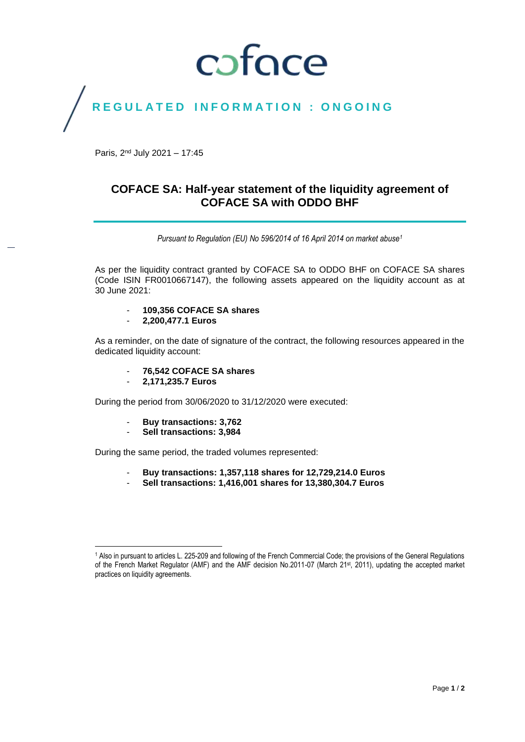## coface

### REGULATED INFORMATION : ONGOING

Paris, 2<sup>nd</sup> July 2021 - 17:45

### **COFACE SA: Half-year statement of the liquidity agreement of COFACE SA with ODDO BHF**

*Pursuant to Regulation (EU) No 596/2014 of 16 April 2014 on market abuse<sup>1</sup>*

As per the liquidity contract granted by COFACE SA to ODDO BHF on COFACE SA shares (Code ISIN FR0010667147), the following assets appeared on the liquidity account as at 30 June 2021:

- **109,356 COFACE SA shares**
- **2,200,477.1 Euros**

As a reminder, on the date of signature of the contract, the following resources appeared in the dedicated liquidity account:

- **76,542 COFACE SA shares**
- **2,171,235.7 Euros**

During the period from 30/06/2020 to 31/12/2020 were executed:

- **Buy transactions: 3,762**
- **Sell transactions: 3,984**

During the same period, the traded volumes represented:

- **Buy transactions: 1,357,118 shares for 12,729,214.0 Euros**
- **Sell transactions: 1,416,001 shares for 13,380,304.7 Euros**

 $\overline{\phantom{a}}$ <sup>1</sup> Also in pursuant to articles L. 225-209 and following of the French Commercial Code; the provisions of the General Regulations of the French Market Regulator (AMF) and the AMF decision No.2011-07 (March 21st, 2011), updating the accepted market practices on liquidity agreements.